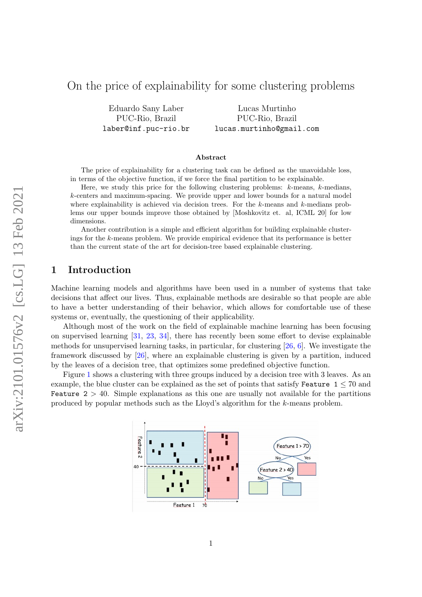# On the price of explainability for some clustering problems

Eduardo Sany Laber PUC-Rio, Brazil laber@inf.puc-rio.br

Lucas Murtinho PUC-Rio, Brazil lucas.murtinho@gmail.com

#### Abstract

The price of explainability for a clustering task can be defined as the unavoidable loss, in terms of the objective function, if we force the final partition to be explainable.

Here, we study this price for the following clustering problems:  $k$ -means,  $k$ -medians, k-centers and maximum-spacing. We provide upper and lower bounds for a natural model where explainability is achieved via decision trees. For the  $k$ -means and  $k$ -medians problems our upper bounds improve those obtained by [Moshkovitz et. al, ICML 20] for low dimensions.

Another contribution is a simple and efficient algorithm for building explainable clusterings for the k-means problem. We provide empirical evidence that its performance is better than the current state of the art for decision-tree based explainable clustering.

## <span id="page-0-0"></span>1 Introduction

Machine learning models and algorithms have been used in a number of systems that take decisions that affect our lives. Thus, explainable methods are desirable so that people are able to have a better understanding of their behavior, which allows for comfortable use of these systems or, eventually, the questioning of their applicability.

Although most of the work on the field of explainable machine learning has been focusing on supervised learning [\[31,](#page-22-0) [23,](#page-21-0) [34\]](#page-22-1), there has recently been some effort to devise explainable methods for unsupervised learning tasks, in particular, for clustering [\[26,](#page-22-2) [6\]](#page-20-0). We investigate the framework discussed by [\[26\]](#page-22-2), where an explainable clustering is given by a partition, induced by the leaves of a decision tree, that optimizes some predefined objective function.

Figure [1](#page-0-0) shows a clustering with three groups induced by a decision tree with 3 leaves. As an example, the blue cluster can be explained as the set of points that satisfy Feature  $1 \leq 70$  and **Feature**  $2 > 40$ . Simple explanations as this one are usually not available for the partitions produced by popular methods such as the Lloyd's algorithm for the k-means problem.

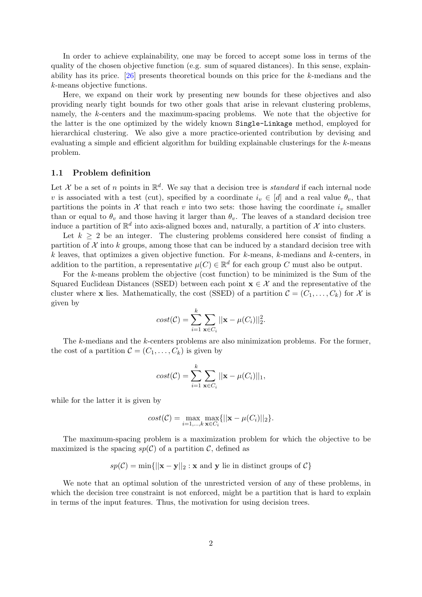In order to achieve explainability, one may be forced to accept some loss in terms of the quality of the chosen objective function (e.g. sum of squared distances). In this sense, explainability has its price. [\[26\]](#page-22-2) presents theoretical bounds on this price for the k-medians and the k-means objective functions.

Here, we expand on their work by presenting new bounds for these objectives and also providing nearly tight bounds for two other goals that arise in relevant clustering problems, namely, the k-centers and the maximum-spacing problems. We note that the objective for the latter is the one optimized by the widely known Single-Linkage method, employed for hierarchical clustering. We also give a more practice-oriented contribution by devising and evaluating a simple and efficient algorithm for building explainable clusterings for the  $k$ -means problem.

#### 1.1 Problem definition

Let X be a set of n points in  $\mathbb{R}^d$ . We say that a decision tree is *standard* if each internal node v is associated with a test (cut), specified by a coordinate  $i_v \in [d]$  and a real value  $\theta_v$ , that partitions the points in  $\mathcal X$  that reach v into two sets: those having the coordinate  $i_v$  smaller than or equal to  $\theta_v$  and those having it larger than  $\theta_v$ . The leaves of a standard decision tree induce a partition of  $\mathbb{R}^d$  into axis-aligned boxes and, naturally, a partition of X into clusters.

Let  $k \geq 2$  be an integer. The clustering problems considered here consist of finding a partition of  $\mathcal X$  into k groups, among those that can be induced by a standard decision tree with  $k$  leaves, that optimizes a given objective function. For  $k$ -means,  $k$ -medians and  $k$ -centers, in addition to the partition, a representative  $\mu(C) \in \mathbb{R}^d$  for each group C must also be output.

For the k-means problem the objective (cost function) to be minimized is the Sum of the Squared Euclidean Distances (SSED) between each point  $\mathbf{x} \in \mathcal{X}$  and the representative of the cluster where **x** lies. Mathematically, the cost (SSED) of a partition  $\mathcal{C} = (C_1, \ldots, C_k)$  for X is given by

$$
cost(\mathcal{C}) = \sum_{i=1}^{k} \sum_{\mathbf{x} \in C_i} ||\mathbf{x} - \mu(C_i)||_2^2.
$$

The k-medians and the k-centers problems are also minimization problems. For the former, the cost of a partition  $\mathcal{C} = (C_1, \ldots, C_k)$  is given by

$$
cost(\mathcal{C}) = \sum_{i=1}^{k} \sum_{\mathbf{x} \in C_i} ||\mathbf{x} - \mu(C_i)||_1,
$$

while for the latter it is given by

$$
cost(\mathcal{C}) = \max_{i=1,\dots,k} \max_{\mathbf{x} \in C_i} \{ ||\mathbf{x} - \mu(C_i)||_2 \}.
$$

The maximum-spacing problem is a maximization problem for which the objective to be maximized is the spacing  $sp(C)$  of a partition C, defined as

$$
sp(\mathcal{C}) = \min\{||\mathbf{x} - \mathbf{y}||_2 : \mathbf{x} \text{ and } \mathbf{y} \text{ lie in distinct groups of } \mathcal{C}\}\
$$

We note that an optimal solution of the unrestricted version of any of these problems, in which the decision tree constraint is not enforced, might be a partition that is hard to explain in terms of the input features. Thus, the motivation for using decision trees.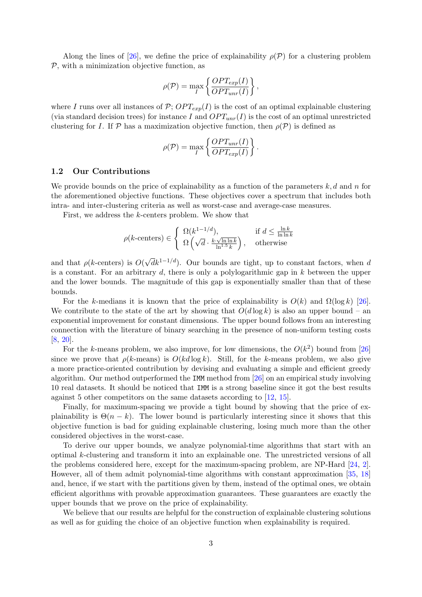Along the lines of [\[26\]](#page-22-2), we define the price of explainability  $\rho(\mathcal{P})$  for a clustering problem  $P$ , with a minimization objective function, as

$$
\rho(\mathcal{P}) = \max_{I} \left\{ \frac{OPT_{exp}(I)}{OPT_{unr}(I)} \right\},\,
$$

where I runs over all instances of  $P$ ;  $OPT_{exp}(I)$  is the cost of an optimal explainable clustering (via standard decision trees) for instance I and  $OPT_{unr}(I)$  is the cost of an optimal unrestricted clustering for I. If P has a maximization objective function, then  $\rho(\mathcal{P})$  is defined as

$$
\rho(\mathcal{P}) = \max_{I} \left\{ \frac{OPT_{unr}(I)}{OPT_{exp}(I)} \right\}
$$

.

#### 1.2 Our Contributions

We provide bounds on the price of explainability as a function of the parameters  $k, d$  and n for the aforementioned objective functions. These objectives cover a spectrum that includes both intra- and inter-clustering criteria as well as worst-case and average-case measures.

First, we address the k-centers problem. We show that

$$
\rho(k\text{-centers}) \in \left\{ \begin{array}{ll} \Omega(k^{1-1/d}), & \text{if } d \le \frac{\ln k}{\ln \ln k} \\ \Omega\left(\sqrt{d} \cdot \frac{k \cdot \sqrt{\ln \ln k}}{\ln^{1.5} k}\right), & \text{otherwise} \end{array} \right.
$$

and that  $\rho(k$ -centers) is  $O(n)$  $\sqrt{d}k^{1-1/d}$ ). Our bounds are tight, up to constant factors, when d is a constant. For an arbitrary  $d$ , there is only a polylogarithmic gap in  $k$  between the upper and the lower bounds. The magnitude of this gap is exponentially smaller than that of these bounds.

For the k-medians it is known that the price of explainability is  $O(k)$  and  $\Omega(\log k)$  [\[26\]](#page-22-2). We contribute to the state of the art by showing that  $O(d \log k)$  is also an upper bound – an exponential improvement for constant dimensions. The upper bound follows from an interesting connection with the literature of binary searching in the presence of non-uniform testing costs [\[8,](#page-21-1) [20\]](#page-21-2).

For the k-means problem, we also improve, for low dimensions, the  $O(k^2)$  bound from [\[26\]](#page-22-2) since we prove that  $\rho(k$ -means) is  $O(kd \log k)$ . Still, for the k-means problem, we also give a more practice-oriented contribution by devising and evaluating a simple and efficient greedy algorithm. Our method outperformed the IMM method from [\[26\]](#page-22-2) on an empirical study involving 10 real datasets. It should be noticed that IMM is a strong baseline since it got the best results against 5 other competitors on the same datasets according to [\[12,](#page-21-3) [15\]](#page-21-4).

Finally, for maximum-spacing we provide a tight bound by showing that the price of explainability is  $\Theta(n-k)$ . The lower bound is particularly interesting since it shows that this objective function is bad for guiding explainable clustering, losing much more than the other considered objectives in the worst-case.

To derive our upper bounds, we analyze polynomial-time algorithms that start with an optimal k-clustering and transform it into an explainable one. The unrestricted versions of all the problems considered here, except for the maximum-spacing problem, are NP-Hard [\[24,](#page-22-3) [2\]](#page-20-1). However, all of them admit polynomial-time algorithms with constant approximation [\[35,](#page-22-4) [18\]](#page-21-5) and, hence, if we start with the partitions given by them, instead of the optimal ones, we obtain efficient algorithms with provable approximation guarantees. These guarantees are exactly the upper bounds that we prove on the price of explainability.

We believe that our results are helpful for the construction of explainable clustering solutions as well as for guiding the choice of an objective function when explainability is required.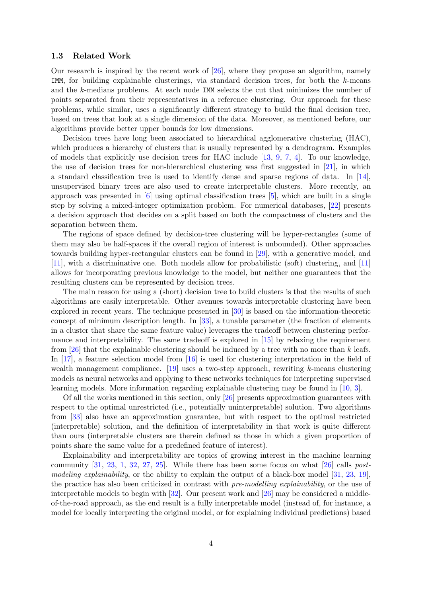#### 1.3 Related Work

Our research is inspired by the recent work of [\[26\]](#page-22-2), where they propose an algorithm, namely IMM, for building explainable clusterings, via standard decision trees, for both the  $k$ -means and the k-medians problems. At each node IMM selects the cut that minimizes the number of points separated from their representatives in a reference clustering. Our approach for these problems, while similar, uses a significantly different strategy to build the final decision tree, based on trees that look at a single dimension of the data. Moreover, as mentioned before, our algorithms provide better upper bounds for low dimensions.

Decision trees have long been associated to hierarchical agglomerative clustering (HAC), which produces a hierarchy of clusters that is usually represented by a dendrogram. Examples of models that explicitly use decision trees for HAC include  $[13, 9, 7, 4]$  $[13, 9, 7, 4]$  $[13, 9, 7, 4]$  $[13, 9, 7, 4]$  $[13, 9, 7, 4]$  $[13, 9, 7, 4]$  $[13, 9, 7, 4]$ . To our knowledge, the use of decision trees for non-hierarchical clustering was first suggested in [\[21\]](#page-21-8), in which a standard classification tree is used to identify dense and sparse regions of data. In [\[14\]](#page-21-9), unsupervised binary trees are also used to create interpretable clusters. More recently, an approach was presented in [\[6\]](#page-20-0) using optimal classification trees [\[5\]](#page-20-4), which are built in a single step by solving a mixed-integer optimization problem. For numerical databases, [\[22\]](#page-21-10) presents a decision approach that decides on a split based on both the compactness of clusters and the separation between them.

The regions of space defined by decision-tree clustering will be hyper-rectangles (some of them may also be half-spaces if the overall region of interest is unbounded). Other approaches towards building hyper-rectangular clusters can be found in [\[29\]](#page-22-5), with a generative model, and [\[11\]](#page-21-11), with a discriminative one. Both models allow for probabilistic (soft) clustering, and [\[11\]](#page-21-11) allows for incorporating previous knowledge to the model, but neither one guarantees that the resulting clusters can be represented by decision trees.

The main reason for using a (short) decision tree to build clusters is that the results of such algorithms are easily interpretable. Other avenues towards interpretable clustering have been explored in recent years. The technique presented in [\[30\]](#page-22-6) is based on the information-theoretic concept of minimum description length. In [\[33\]](#page-22-7), a tunable parameter (the fraction of elements in a cluster that share the same feature value) leverages the tradeoff between clustering performance and interpretability. The same tradeoff is explored in [\[15\]](#page-21-4) by relaxing the requirement from [\[26\]](#page-22-2) that the explainable clustering should be induced by a tree with no more than  $k$  leafs. In [\[17\]](#page-21-12), a feature selection model from [\[16\]](#page-21-13) is used for clustering interpretation in the field of wealth management compliance.  $[19]$  uses a two-step approach, rewriting k-means clustering models as neural networks and applying to these networks techniques for interpreting supervised learning models. More information regarding explainable clustering may be found in [\[10,](#page-21-15) [3\]](#page-20-5).

Of all the works mentioned in this section, only [\[26\]](#page-22-2) presents approximation guarantees with respect to the optimal unrestricted (i.e., potentially uninterpretable) solution. Two algorithms from [\[33\]](#page-22-7) also have an approximation guarantee, but with respect to the optimal restricted (interpretable) solution, and the definition of interpretability in that work is quite different than ours (interpretable clusters are therein defined as those in which a given proportion of points share the same value for a predefined feature of interest).

Explainability and interpretability are topics of growing interest in the machine learning community  $[31, 23, 1, 32, 27, 25]$  $[31, 23, 1, 32, 27, 25]$  $[31, 23, 1, 32, 27, 25]$  $[31, 23, 1, 32, 27, 25]$  $[31, 23, 1, 32, 27, 25]$  $[31, 23, 1, 32, 27, 25]$  $[31, 23, 1, 32, 27, 25]$  $[31, 23, 1, 32, 27, 25]$  $[31, 23, 1, 32, 27, 25]$  $[31, 23, 1, 32, 27, 25]$  $[31, 23, 1, 32, 27, 25]$ . While there has been some focus on what  $[26]$  calls *post*modeling explainability, or the ability to explain the output of a black-box model  $[31, 23, 19]$  $[31, 23, 19]$  $[31, 23, 19]$  $[31, 23, 19]$  $[31, 23, 19]$ , the practice has also been criticized in contrast with pre-modelling explainability, or the use of interpretable models to begin with [\[32\]](#page-22-8). Our present work and [\[26\]](#page-22-2) may be considered a middleof-the-road approach, as the end result is a fully interpretable model (instead of, for instance, a model for locally interpreting the original model, or for explaining individual predictions) based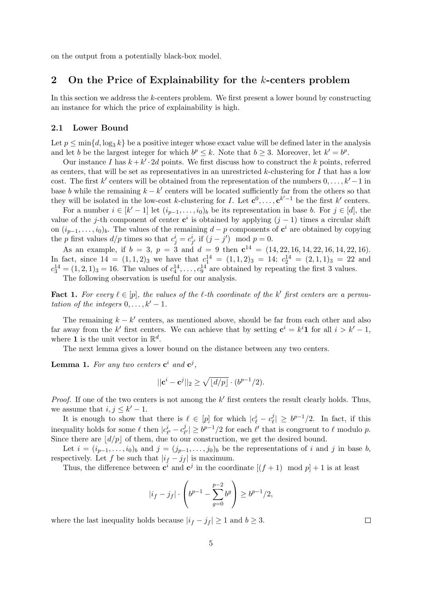on the output from a potentially black-box model.

# 2 On the Price of Explainability for the k-centers problem

In this section we address the k-centers problem. We first present a lower bound by constructing an instance for which the price of explainability is high.

### 2.1 Lower Bound

Let  $p \le \min\{d, \log_3 k\}$  be a positive integer whose exact value will be defined later in the analysis and let b be the largest integer for which  $b^p \leq k$ . Note that  $b \geq 3$ . Moreover, let  $k' = b^p$ .

Our instance I has  $k + k' \cdot 2d$  points. We first discuss how to construct the k points, referred as centers, that will be set as representatives in an unrestricted  $k$ -clustering for  $I$  that has a low cost. The first k' centers will be obtained from the representation of the numbers  $0, \ldots, k' - 1$  in base b while the remaining  $k - k'$  centers will be located sufficiently far from the others so that they will be isolated in the low-cost k-clustering for I. Let  $\mathbf{c}^0, \ldots, \mathbf{c}^{k'-1}$  be the first k' centers.

For a number  $i \in [k'-1]$  let  $(i_{p-1}, \ldots, i_0)_b$  be its representation in base b. For  $j \in [d]$ , the value of the j-th component of center  $c^i$  is obtained by applying  $(j-1)$  times a circular shift on  $(i_{p-1},\ldots,i_0)_b$ . The values of the remaining  $d-p$  components of  $\mathbf{c}^i$  are obtained by copying the p first values  $d/p$  times so that  $c_j^i = c_{j'}^i$  if  $(j - j') \mod p = 0$ .

As an example, if  $b = 3$ ,  $p = 3$  and  $d = 9$  then  $c^{14} = (14, 22, 16, 14, 22, 16, 14, 22, 16)$ . In fact, since  $14 = (1, 1, 2)_{3}$  we have that  $c_1^{14} = (1, 1, 2)_{3} = 14$ ;  $c_2^{14} = (2, 1, 1)_{3} = 22$  and  $c_3^{14} = (1, 2, 1)_3 = 16$ . The values of  $c_4^{14}, \ldots, c_9^{14}$  are obtained by repeating the first 3 values.

The following observation is useful for our analysis.

<span id="page-4-0"></span>**Fact 1.** For every  $\ell \in [p]$ , the values of the  $\ell$ -th coordinate of the k' first centers are a permutation of the integers  $0, \ldots, k'-1$ .

The remaining  $k - k'$  centers, as mentioned above, should be far from each other and also far away from the k' first centers. We can achieve that by setting  $c^i = k^i 1$  for all  $i > k'-1$ , where **1** is the unit vector in  $\mathbb{R}^d$ .

The next lemma gives a lower bound on the distance between any two centers.

<span id="page-4-1"></span>**Lemma 1.** For any two centers  $\mathbf{c}^i$  and  $\mathbf{c}^j$ ,

$$
||\mathbf{c}^{i} - \mathbf{c}^{j}||_2 \ge \sqrt{\lfloor d/p \rfloor} \cdot (b^{p-1}/2).
$$

*Proof.* If one of the two centers is not among the  $k'$  first centers the result clearly holds. Thus, we assume that  $i, j \leq k'-1$ .

It is enough to show that there is  $\ell \in [p]$  for which  $|c_{\ell}^i - c_{\ell}^j|$  $|\dot{\ell}| \geq b^{p-1}/2$ . In fact, if this inequality holds for some  $\ell$  then  $|c_{\ell'}^i - c_{\ell}^j|$  $|e^j_{\ell'}| \ge b^{p-1}/2$  for each  $\ell'$  that is congruent to  $\ell$  modulo p. Since there are  $\left| d/p \right|$  of them, due to our construction, we get the desired bound.

Let  $i = (i_{p-1}, \ldots, i_0)_b$  and  $j = (j_{p-1}, \ldots, j_0)_b$  be the representations of i and j in base b, respectively. Let f be such that  $|i_f - j_f|$  is maximum.

Thus, the difference between  $\mathbf{c}^i$  and  $\mathbf{c}^j$  in the coordinate  $[(f+1) \mod p]+1$  is at least

$$
|i_f - j_f| \cdot \left(b^{p-1} - \sum_{g=0}^{p-2} b^g \right) \ge b^{p-1}/2,
$$

where the last inequality holds because  $|i_f - j_f| \geq 1$  and  $b \geq 3$ .

 $\Box$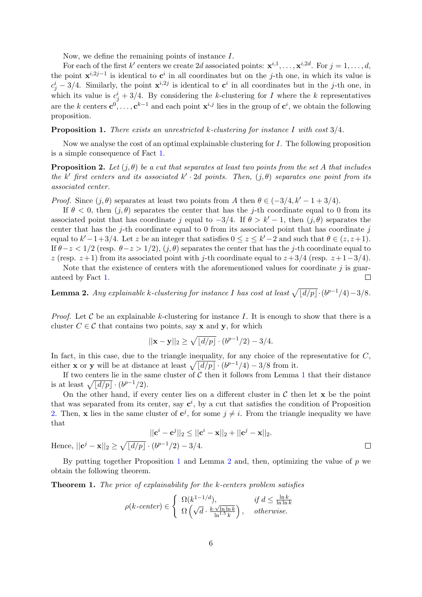Now, we define the remaining points of instance I.

For each of the first k' centers we create 2d associated points:  $\mathbf{x}^{i,1}, \ldots, \mathbf{x}^{i,2d}$ . For  $j = 1, \ldots, d$ , the point  $\mathbf{x}^{i,2j-1}$  is identical to  $\mathbf{c}^i$  in all coordinates but on the j-th one, in which its value is  $c_j^i - 3/4$ . Similarly, the point  $\mathbf{x}^{i,2j}$  is identical to  $\mathbf{c}^i$  in all coordinates but in the j-th one, in which its value is  $c_j^i + 3/4$ . By considering the k-clustering for I where the k representatives are the k centers  $c^0, \ldots, c^{k-1}$  and each point  $x^{i,j}$  lies in the group of  $c^i$ , we obtain the following proposition.

#### <span id="page-5-1"></span>**Proposition 1.** There exists an unrestricted k-clustering for instance I with cost  $3/4$ .

Now we analyse the cost of an optimal explainable clustering for I. The following proposition is a simple consequence of Fact [1.](#page-4-0)

<span id="page-5-0"></span>**Proposition 2.** Let  $(j, \theta)$  be a cut that separates at least two points from the set A that includes the k' first centers and its associated  $k' \cdot 2d$  points. Then,  $(j, \theta)$  separates one point from its associated center.

*Proof.* Since  $(i, \theta)$  separates at least two points from A then  $\theta \in (-3/4, k' - 1 + 3/4)$ .

If  $\theta < 0$ , then  $(j, \theta)$  separates the center that has the j-th coordinate equal to 0 from its associated point that has coordinate j equal to  $-3/4$ . If  $\theta > k' - 1$ , then  $(j, \theta)$  separates the center that has the j-th coordinate equal to 0 from its associated point that has coordinate  $j$ equal to  $k'-1+3/4$ . Let z be an integer that satisfies  $0 \le z \le k'-2$  and such that  $\theta \in (z, z+1)$ . If  $\theta$ −z < 1/2 (resp.  $\theta$ −z > 1/2),  $(j, \theta)$  separates the center that has the j-th coordinate equal to z (resp.  $z+1$ ) from its associated point with j-th coordinate equal to  $z+3/4$  (resp.  $z+1-3/4$ ).

Note that the existence of centers with the aforementioned values for coordinate  $j$  is guaranteed by Fact [1.](#page-4-0)  $\Box$ 

<span id="page-5-2"></span>**Lemma 2.** Any explainable k-clustering for instance I has cost at least  $\sqrt{\frac{d}{p}} \cdot (b^{p-1}/4) - 3/8$ .

*Proof.* Let C be an explainable k-clustering for instance I. It is enough to show that there is a cluster  $C \in \mathcal{C}$  that contains two points, say **x** and **y**, for which

$$
||\mathbf{x} - \mathbf{y}||_2 \ge \sqrt{\lfloor d/p \rfloor} \cdot (b^{p-1}/2) - 3/4.
$$

In fact, in this case, due to the triangle inequality, for any choice of the representative for  $C$ , either **x** or **y** will be at distance at least  $\sqrt{\frac{d}{p}} \cdot (b^{p-1}/4) - 3/8$  from it.

If two centers lie in the same cluster of  $C$  then it follows from Lemma [1](#page-4-1) that their distance is at least  $\sqrt{\frac{d}{p}} \cdot (b^{p-1}/2)$ .

On the other hand, if every center lies on a different cluster in  $\mathcal C$  then let  $\mathbf x$  be the point that was separated from its center, say  $c^i$ , by a cut that satisfies the condition of Proposition [2.](#page-5-0) Then, x lies in the same cluster of  $c^j$ , for some  $j \neq i$ . From the triangle inequality we have that

$$
||\mathbf{c}^{i} - \mathbf{c}^{j}||_{2} \le ||\mathbf{c}^{i} - \mathbf{x}||_{2} + ||\mathbf{c}^{j} - \mathbf{x}||_{2}.
$$
  

$$
\mathbf{c}^{j} - \mathbf{x}||_{2} \ge \sqrt{\lfloor d/p \rfloor} \cdot (b^{p-1}/2) - 3/4.
$$
 □

Hence,  $||$ 

By putting together Proposition [1](#page-5-1) and Lemma [2](#page-5-2) and, then, optimizing the value of  $p$  we obtain the following theorem.

<span id="page-5-3"></span>Theorem 1. The price of explainability for the k-centers problem satisfies

$$
\rho(k\text{-center}) \in \left\{ \begin{array}{ll} \Omega(k^{1-1/d}), & \text{if } d \le \frac{\ln k}{\ln \ln k} \\ \Omega\left(\sqrt{d} \cdot \frac{k \cdot \sqrt{\ln \ln k}}{\ln^{1.5} k}\right), & \text{otherwise.} \end{array} \right.
$$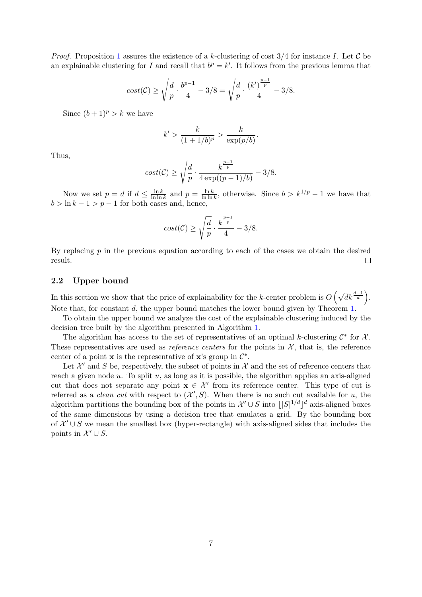*Proof.* Proposition [1](#page-5-1) assures the existence of a k-clustering of cost  $3/4$  for instance I. Let C be an explainable clustering for I and recall that  $b^p = k'$ . It follows from the previous lemma that

$$
cost(\mathcal{C}) \ge \sqrt{\frac{d}{p}} \cdot \frac{b^{p-1}}{4} - 3/8 = \sqrt{\frac{d}{p}} \cdot \frac{(k')^{\frac{p-1}{p}}}{4} - 3/8.
$$

Since  $(b+1)^p > k$  we have

$$
k' > \frac{k}{(1+1/b)^p} > \frac{k}{\exp(p/b)}.
$$

Thus,

$$
cost(\mathcal{C}) \ge \sqrt{\frac{d}{p}} \cdot \frac{k^{\frac{p-1}{p}}}{4 \exp((p-1)/b)} - 3/8.
$$

Now we set  $p = d$  if  $d \leq \frac{\ln k}{\ln \ln n}$  $\frac{\ln k}{\ln \ln k}$  and  $p = \frac{\ln k}{\ln \ln k}$  $\frac{\ln k}{\ln \ln k}$ , otherwise. Since  $b > k^{1/p} - 1$  we have that  $b > \ln k - 1 > p - 1$  for both cases and, hence,

$$
cost(\mathcal{C}) \ge \sqrt{\frac{d}{p}} \cdot \frac{k^{\frac{p-1}{p}}}{4} - 3/8.
$$

By replacing  $p$  in the previous equation according to each of the cases we obtain the desired result.  $\Box$ 

#### 2.2 Upper bound

In this section we show that the price of explainability for the k-center problem is  $O\left(\sqrt{d}k^{\frac{d-1}{d}}\right)$ . Note that, for constant d, the upper bound matches the lower bound given by Theorem [1.](#page-5-3)

To obtain the upper bound we analyze the cost of the explainable clustering induced by the decision tree built by the algorithm presented in Algorithm [1.](#page-7-0)

The algorithm has access to the set of representatives of an optimal k-clustering  $\mathcal{C}^*$  for  $\mathcal{X}$ . These representatives are used as *reference centers* for the points in  $\mathcal{X}$ , that is, the reference center of a point **x** is the representative of **x**'s group in  $\mathcal{C}^*$ .

Let  $\mathcal{X}'$  and S be, respectively, the subset of points in  $\mathcal{X}$  and the set of reference centers that reach a given node  $u$ . To split  $u$ , as long as it is possible, the algorithm applies an axis-aligned cut that does not separate any point  $x \in \mathcal{X}'$  from its reference center. This type of cut is referred as a *clean cut* with respect to  $(X', S)$ . When there is no such cut available for u, the algorithm partitions the bounding box of the points in  $\mathcal{X}' \cup S$  into  $||S|^{1/d} ||^d$  axis-aligned boxes of the same dimensions by using a decision tree that emulates a grid. By the bounding box of  $\mathcal{X}' \cup \mathcal{S}$  we mean the smallest box (hyper-rectangle) with axis-aligned sides that includes the points in  $\mathcal{X}' \cup S$ .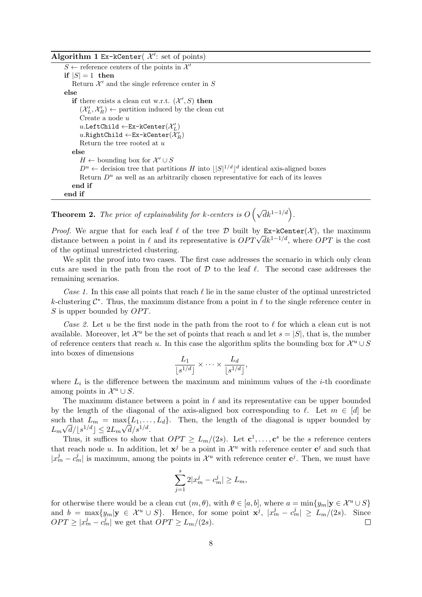## Algorithm 1 Ex-kCenter( $\mathcal{X}'$ : set of points)

 $S \leftarrow$  reference centers of the points in  $\mathcal{X}'$ if  $|S| = 1$  then Return  $\mathcal{X}'$  and the single reference center in S else if there exists a clean cut w.r.t.  $(\mathcal{X}', S)$  then  $(\mathcal{X}'_L, \mathcal{X}'_R) \leftarrow$  partition induced by the clean cut Create a node u  $u.\mathtt{LeftChild} \gets \mathtt{Ex-kCenter}(\mathcal{X}_L')$  $u.\mathtt{RightChild} \leftarrow \mathtt{Ex-kCenter}(\mathcal{X}'_R)$ Return the tree rooted at  $u$ else  $H \leftarrow$  bounding box for  $\mathcal{X}' \cup S$  $D^u \leftarrow$  decision tree that partitions H into  $||S|^{1/d}||^d$  identical axis-aligned boxes Return  $D^u$  as well as an arbitrarily chosen representative for each of its leaves end if end if

<span id="page-7-0"></span>**Theorem 2.** The price of explainability for k-centers is  $O(\sqrt{d}k^{1-1/d})$ .

*Proof.* We argue that for each leaf  $\ell$  of the tree  $\mathcal D$  built by Ex-kCenter(X), the maximum *Proof.* We argue that for each lear  $\ell$  or the tree D built by **Ex-**KCenter( $\lambda$ ), the maximum distance between a point in  $\ell$  and its representative is  $OPT \sqrt{d} k^{1-1/d}$ , where  $OPT$  is the cost of the optimal unrestricted clustering.

We split the proof into two cases. The first case addresses the scenario in which only clean cuts are used in the path from the root of  $D$  to the leaf  $\ell$ . The second case addresses the remaining scenarios.

Case 1. In this case all points that reach  $\ell$  lie in the same cluster of the optimal unrestricted k-clustering  $\mathcal{C}^*$ . Thus, the maximum distance from a point in  $\ell$  to the single reference center in  $S$  is upper bounded by  $OPT$ .

Case 2. Let u be the first node in the path from the root to  $\ell$  for which a clean cut is not available. Moreover, let  $\mathcal{X}^u$  be the set of points that reach u and let  $s = |S|$ , that is, the number of reference centers that reach u. In this case the algorithm splits the bounding box for  $\mathcal{X}^u \cup S$ into boxes of dimensions

$$
\frac{L_1}{\lfloor s^{1/d}\rfloor} \times \cdots \times \frac{L_d}{\lfloor s^{1/d}\rfloor},
$$

where  $L_i$  is the difference between the maximum and minimum values of the *i*-th coordinate among points in  $\mathcal{X}^u \cup S$ .

The maximum distance between a point in  $\ell$  and its representative can be upper bounded by the length of the diagonal of the axis-aligned box corresponding to  $\ell$ . Let  $m \in [d]$  be such that  $L_m = \max\{L_1, \ldots, L_d\}$ . Then, the length of the diagonal is upper bounded by  $L_m\sqrt{d}/\lfloor s^{1/d}\rfloor \leq 2L_m\sqrt{d}/s^{1/d}.$ 

Thus, it suffices to show that  $OPT \ge L_m/(2s)$ . Let  $\mathbf{c}^1, \ldots, \mathbf{c}^s$  be the s reference centers that reach node u. In addition, let  $x^j$  be a point in  $\mathcal{X}^u$  with reference center  $c^j$  and such that  $|x_m^j - c_m^j|$  is maximum, among the points in  $\mathcal{X}^u$  with reference center  $c^j$ . Then, we must have

$$
\sum_{j=1}^{s} 2|x_m^j - c_m^j| \ge L_m,
$$

for otherwise there would be a clean cut  $(m, \theta)$ , with  $\theta \in [a, b]$ , where  $a = \min\{y_m | y \in \mathcal{X}^u \cup S\}$ and  $b = \max\{y_m | \mathbf{y} \in \mathcal{X}^u \cup S\}$ . Hence, for some point  $\mathbf{x}^j$ ,  $|x_m^j - c_m^j| \ge L_m/(2s)$ . Since  $OPT \ge |x_m^j - c_m^j|$  we get that  $OPT \ge L_m/(2s)$ .  $\Box$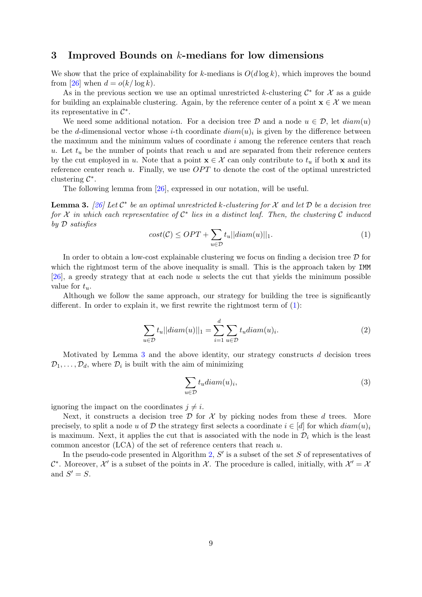## 3 Improved Bounds on k-medians for low dimensions

We show that the price of explainability for k-medians is  $O(d \log k)$ , which improves the bound from [\[26\]](#page-22-2) when  $d = o(k/\log k)$ .

As in the previous section we use an optimal unrestricted k-clustering  $\mathcal{C}^*$  for  $\mathcal X$  as a guide for building an explainable clustering. Again, by the reference center of a point  $\mathbf{x} \in \mathcal{X}$  we mean its representative in  $\mathcal{C}^*$ .

We need some additional notation. For a decision tree D and a node  $u \in \mathcal{D}$ , let  $diam(u)$ be the d-dimensional vector whose *i*-th coordinate  $diam(u)$  is given by the difference between the maximum and the minimum values of coordinate i among the reference centers that reach u. Let  $t<sub>u</sub>$  be the number of points that reach u and are separated from their reference centers by the cut employed in u. Note that a point  $\mathbf{x} \in \mathcal{X}$  can only contribute to  $t_u$  if both x and its reference center reach  $u$ . Finally, we use  $OPT$  to denote the cost of the optimal unrestricted clustering  $\mathcal{C}^*$ .

<span id="page-8-0"></span>The following lemma from [\[26\]](#page-22-2), expressed in our notation, will be useful.

<span id="page-8-1"></span>**Lemma 3.** [\[26\]](#page-22-2) Let  $\mathcal{C}^*$  be an optimal unrestricted k-clustering for X and let D be a decision tree for  $\mathcal X$  in which each representative of  $\mathcal C^*$  lies in a distinct leaf. Then, the clustering  $\mathcal C$  induced by D satisfies

$$
cost(\mathcal{C}) \le OPT + \sum_{u \in \mathcal{D}} t_u ||diam(u)||_1.
$$
 (1)

In order to obtain a low-cost explainable clustering we focus on finding a decision tree  $\mathcal D$  for which the rightmost term of the above inequality is small. This is the approach taken by IMM [\[26\]](#page-22-2), a greedy strategy that at each node u selects the cut that yields the minimum possible value for  $t_u$ .

Although we follow the same approach, our strategy for building the tree is significantly different. In order to explain it, we first rewrite the rightmost term of [\(1\)](#page-8-0):

$$
\sum_{u \in \mathcal{D}} t_u ||diam(u)||_1 = \sum_{i=1}^d \sum_{u \in \mathcal{D}} t_u diam(u)_i.
$$
 (2)

Motivated by Lemma [3](#page-8-1) and the above identity, our strategy constructs d decision trees  $\mathcal{D}_1, \ldots, \mathcal{D}_d$ , where  $\mathcal{D}_i$  is built with the aim of minimizing

<span id="page-8-2"></span>
$$
\sum_{u \in \mathcal{D}} t_u \operatorname{diam}(u)_i,\tag{3}
$$

ignoring the impact on the coordinates  $j \neq i$ .

Next, it constructs a decision tree  $\mathcal D$  for  $\mathcal X$  by picking nodes from these d trees. More precisely, to split a node u of D the strategy first selects a coordinate  $i \in [d]$  for which  $diam(u)_i$ is maximum. Next, it applies the cut that is associated with the node in  $\mathcal{D}_i$  which is the least common ancestor  $(LCA)$  of the set of reference centers that reach u.

In the pseudo-code presented in Algorithm [2,](#page-9-0)  $S'$  is a subset of the set  $S$  of representatives of  $\mathcal{C}^*$ . Moreover,  $\mathcal{X}'$  is a subset of the points in X. The procedure is called, initially, with  $\mathcal{X}' = \mathcal{X}$ and  $S' = S$ .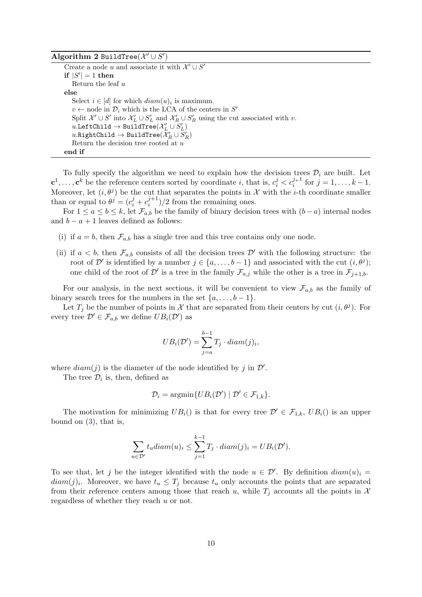Algorithm 2 BuildTree $(\mathcal{X}' \cup S')$ 

Create a node u and associate it with  $\mathcal{X}' \cup \mathcal{S}'$ if  $|S'| = 1$  then Return the leaf u else Select  $i \in [d]$  for which  $diam(u)_i$  is maximum.  $v \leftarrow$  node in  $\mathcal{D}_i$  which is the LCA of the centers in  $S'$ Split  $\mathcal{X}' \cup S'$  into  $\mathcal{X}'_L \cup S'_L$  and  $\mathcal{X}'_R \cup S'_R$  using the cut associated with v.  $u.\mathtt{LeftChild}\to\mathtt{BuildTree}(\mathcal{X}'_L\cup S'_L)$  $u.\mathtt{RightChild}\to\mathtt{BuildTree}(\mathcal{X}'_R\cup S'_R)$ Return the decision tree rooted at  $u$ end if

<span id="page-9-0"></span>To fully specify the algorithm we need to explain how the decision trees  $\mathcal{D}_i$  are built. Let  $\mathbf{c}^1,\ldots,\mathbf{c}^k$  be the reference centers sorted by coordinate i, that is,  $c_i^j < c_i^{j+1}$  for  $j = 1,\ldots,k-1$ . Moreover, let  $(i, \theta^j)$  be the cut that separates the points in X with the *i*-th coordinate smaller than or equal to  $\theta^j = (c_i^j + c_i^{j+1})$  $\binom{j+1}{i}/2$  from the remaining ones.

For  $1 \le a \le b \le k$ , let  $\mathcal{F}_{a,b}$  be the family of binary decision trees with  $(b-a)$  internal nodes and  $b - a + 1$  leaves defined as follows:

- (i) if  $a = b$ , then  $\mathcal{F}_{a,b}$  has a single tree and this tree contains only one node.
- (ii) if  $a < b$ , then  $\mathcal{F}_{a,b}$  consists of all the decision trees  $\mathcal{D}'$  with the following structure: the root of  $\mathcal{D}'$  is identified by a number  $j \in \{a, \ldots, b-1\}$  and associated with the cut  $(i, \theta^j)$ ; one child of the root of D' is a tree in the family  $\mathcal{F}_{a,j}$  while the other is a tree in  $\mathcal{F}_{j+1,b}$ .

For our analysis, in the next sections, it will be convenient to view  $\mathcal{F}_{a,b}$  as the family of binary search trees for the numbers in the set  $\{a, \ldots, b-1\}.$ 

Let  $T_j$  be the number of points in X that are separated from their centers by cut  $(i, \theta^j)$ . For every tree  $\mathcal{D}' \in \mathcal{F}_{a,b}$  we define  $UB_i(\mathcal{D}')$  as

$$
UB_i(\mathcal{D}') = \sum_{j=a}^{b-1} T_j \cdot diam(j)_i,
$$

where  $diam(j)$  is the diameter of the node identified by j in  $\mathcal{D}'$ .

The tree  $\mathcal{D}_i$  is, then, defined as

$$
\mathcal{D}_i = \operatorname{argmin} \{ U B_i(\mathcal{D}') \mid \mathcal{D}' \in \mathcal{F}_{1,k} \}.
$$

The motivation for minimizing  $UB_i()$  is that for every tree  $\mathcal{D}' \in \mathcal{F}_{1,k}$ ,  $UB_i()$  is an upper bound on  $(3)$ , that is,

$$
\sum_{u \in \mathcal{D}'} t_u \operatorname{diam}(u)_i \le \sum_{j=1}^{k-1} T_j \cdot \operatorname{diam}(j)_i = UB_i(\mathcal{D}').
$$

To see that, let j be the integer identified with the node  $u \in \mathcal{D}'$ . By definition  $diam(u)_i =$  $diam(j)_i$ . Moreover, we have  $t_u \leq T_j$  because  $t_u$  only accounts the points that are separated from their reference centers among those that reach u, while  $T_j$  accounts all the points in X regardless of whether they reach u or not.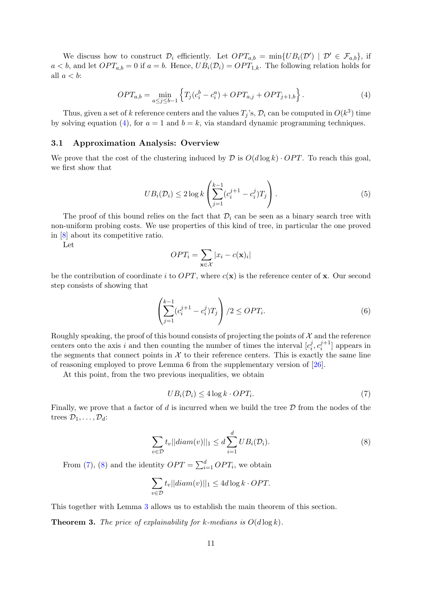<span id="page-10-0"></span>We discuss how to construct  $\mathcal{D}_i$  efficiently. Let  $OPT_{a,b} = \min\{UB_i(\mathcal{D}') \mid \mathcal{D}' \in \mathcal{F}_{a,b}\},\$ if  $a < b$ , and let  $OPT_{a,b} = 0$  if  $a = b$ . Hence,  $UB_i(\mathcal{D}_i) = OPT_{1,k}$ . The following relation holds for all  $a < b$ :

$$
OPT_{a,b} = \min_{a \le j \le b-1} \left\{ T_j(c_i^b - c_i^a) + OPT_{a,j} + OPT_{j+1,b} \right\}.
$$
 (4)

Thus, given a set of k reference centers and the values  $T_j$ 's,  $\mathcal{D}_i$  can be computed in  $O(k^3)$  time by solving equation [\(4\)](#page-10-0), for  $a = 1$  and  $b = k$ , via standard dynamic programming techniques.

# 3.1 Approximation Analysis: Overview

<span id="page-10-3"></span>We prove that the cost of the clustering induced by  $\mathcal D$  is  $O(d \log k) \cdot OPT$ . To reach this goal, we first show that

$$
UB_i(\mathcal{D}_i) \le 2 \log k \left( \sum_{j=1}^{k-1} (c_i^{j+1} - c_i^j) T_j \right).
$$
 (5)

The proof of this bound relies on the fact that  $\mathcal{D}_i$  can be seen as a binary search tree with non-uniform probing costs. We use properties of this kind of tree, in particular the one proved in [\[8\]](#page-21-1) about its competitive ratio.

Let

$$
OPT_i = \sum_{\mathbf{x} \in \mathcal{X}} |x_i - c(\mathbf{x})_i|
$$

be the contribution of coordinate i to  $OPT$ , where  $c(\mathbf{x})$  is the reference center of x. Our second step consists of showing that

<span id="page-10-4"></span>
$$
\left(\sum_{j=1}^{k-1} (c_i^{j+1} - c_i^j) T_j\right) / 2 \le OPT_i.
$$
\n(6)

Roughly speaking, the proof of this bound consists of projecting the points of  $\mathcal X$  and the reference centers onto the axis i and then counting the number of times the interval  $[c_i^j]$  $i, c_i^{j+1}$  $\binom{j+1}{i}$  appears in the segments that connect points in  $X$  to their reference centers. This is exactly the same line of reasoning employed to prove Lemma 6 from the supplementary version of [\[26\]](#page-22-2).

<span id="page-10-1"></span>At this point, from the two previous inequalities, we obtain

$$
UB_i(\mathcal{D}_i) \le 4\log k \cdot OPT_i. \tag{7}
$$

<span id="page-10-2"></span>Finally, we prove that a factor of d is incurred when we build the tree  $\mathcal D$  from the nodes of the trees  $\mathcal{D}_1, \ldots, \mathcal{D}_d$ :

$$
\sum_{v \in \mathcal{D}} t_v ||diam(v)||_1 \le d \sum_{i=1}^d UB_i(\mathcal{D}_i).
$$
 (8)

From [\(7\)](#page-10-1), [\(8\)](#page-10-2) and the identity  $OPT = \sum_{i=1}^{d} OPT_i$ , we obtain

$$
\sum_{v \in \mathcal{D}} t_v ||diam(v)||_1 \le 4d \log k \cdot OPT.
$$

This together with Lemma [3](#page-8-1) allows us to establish the main theorem of this section.

**Theorem 3.** The price of explainability for k-medians is  $O(d \log k)$ .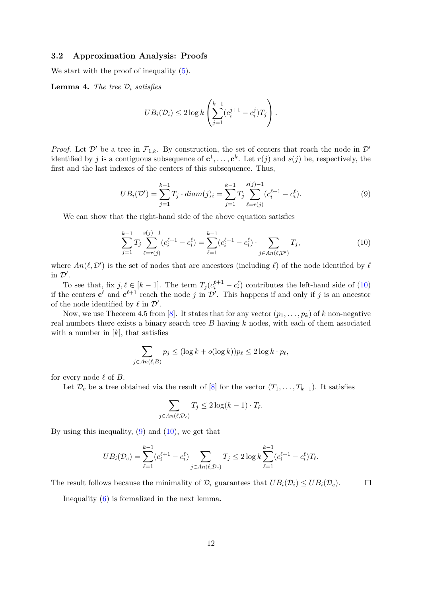#### 3.2 Approximation Analysis: Proofs

We start with the proof of inequality  $(5)$ .

<span id="page-11-2"></span>**Lemma 4.** The tree  $\mathcal{D}_i$  satisfies

$$
UB_i(\mathcal{D}_i) \leq 2 \log k \left( \sum_{j=1}^{k-1} (c_i^{j+1} - c_i^j) T_j \right).
$$

<span id="page-11-1"></span>*Proof.* Let  $\mathcal{D}'$  be a tree in  $\mathcal{F}_{1,k}$ . By construction, the set of centers that reach the node in  $\mathcal{D}'$ identified by j is a contiguous subsequence of  $c^1, \ldots, c^k$ . Let  $r(j)$  and  $s(j)$  be, respectively, the first and the last indexes of the centers of this subsequence. Thus,

$$
UB_i(\mathcal{D}') = \sum_{j=1}^{k-1} T_j \cdot diam(j)_i = \sum_{j=1}^{k-1} T_j \sum_{\ell=r(j)}^{s(j)-1} (c_i^{\ell+1} - c_i^{\ell}). \tag{9}
$$

<span id="page-11-0"></span>We can show that the right-hand side of the above equation satisfies

$$
\sum_{j=1}^{k-1} T_j \sum_{\ell=r(j)}^{s(j)-1} (c_i^{\ell+1} - c_i^{\ell}) = \sum_{\ell=1}^{k-1} (c_i^{\ell+1} - c_i^{\ell}) \cdot \sum_{j \in An(\ell, \mathcal{D}')} T_j,
$$
\n(10)

where  $An(\ell, \mathcal{D}')$  is the set of nodes that are ancestors (including  $\ell$ ) of the node identified by  $\ell$ in  $\mathcal{D}'$ .

To see that, fix  $j, \ell \in [k-1]$ . The term  $T_j (c_i^{\ell+1} - c_i^{\ell})$  contributes the left-hand side of [\(10\)](#page-11-0) if the centers  $c^{\ell}$  and  $c^{\ell+1}$  reach the node j in  $\mathcal{D}'$ . This happens if and only if j is an ancestor of the node identified by  $\ell$  in  $\mathcal{D}'$ .

Now, we use Theorem 4.5 from [\[8\]](#page-21-1). It states that for any vector  $(p_1, \ldots, p_k)$  of k non-negative real numbers there exists a binary search tree  $B$  having  $k$  nodes, with each of them associated with a number in  $[k]$ , that satisfies

$$
\sum_{j \in An(\ell, B)} p_j \leq (\log k + o(\log k)) p_\ell \leq 2 \log k \cdot p_\ell,
$$

for every node  $\ell$  of B.

Let  $\mathcal{D}_c$  be a tree obtained via the result of [\[8\]](#page-21-1) for the vector  $(T_1, \ldots, T_{k-1})$ . It satisfies

$$
\sum_{j \in An(\ell, \mathcal{D}_c)} T_j \le 2 \log(k - 1) \cdot T_{\ell}.
$$

By using this inequality,  $(9)$  and  $(10)$ , we get that

$$
UB_i(\mathcal{D}_c) = \sum_{\ell=1}^{k-1} (c_i^{\ell+1} - c_i^{\ell}) \sum_{j \in An(\ell, \mathcal{D}_c)} T_j \le 2 \log k \sum_{\ell=1}^{k-1} (c_i^{\ell+1} - c_i^{\ell}) T_{\ell}.
$$

 $\Box$ The result follows because the minimality of  $\mathcal{D}_i$  guarantees that  $UB_i(\mathcal{D}_i) \leq UB_i(\mathcal{D}_c)$ .

Inequality [\(6\)](#page-10-4) is formalized in the next lemma.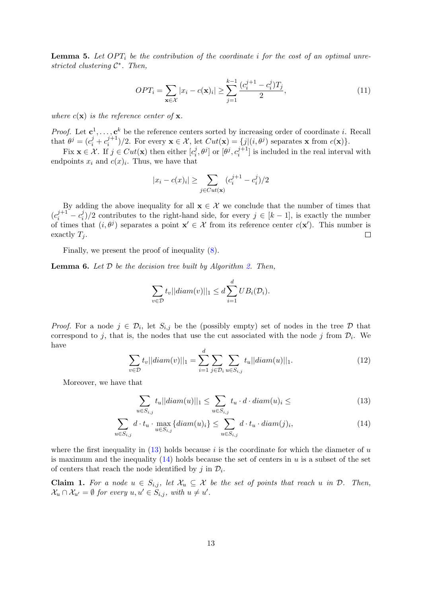**Lemma 5.** Let  $OPT_i$  be the contribution of the coordinate i for the cost of an optimal unrestricted clustering  $C^*$ . Then,

<span id="page-12-2"></span>
$$
OPT_i = \sum_{\mathbf{x} \in \mathcal{X}} |x_i - c(\mathbf{x})_i| \ge \sum_{j=1}^{k-1} \frac{(c_i^{j+1} - c_i^j) T_j}{2},\tag{11}
$$

where  $c(\mathbf{x})$  is the reference center of **x**.

*Proof.* Let  $c^1, \ldots, c^k$  be the reference centers sorted by increasing order of coordinate *i*. Recall that  $\theta^j = (c_i^j + c_i^{j+1})$  $(i,j+1)/2$ . For every  $\mathbf{x} \in \mathcal{X}$ , let  $Cut(\mathbf{x}) = \{j | (i, \theta^j) \text{ separates } \mathbf{x} \text{ from } c(\mathbf{x})\}.$ 

Fix  $\mathbf{x} \in \mathcal{X}$ . If  $j \in Cut(\mathbf{x})$  then either  $[c_i^j]$  $[i, \theta^j]$  or  $[\theta^j, c_i^{j+1}]$  $\binom{J+1}{i}$  is included in the real interval with endpoints  $x_i$  and  $c(x)_i$ . Thus, we have that

$$
|x_i - c(x)_i| \ge \sum_{j \in Cut(\mathbf{x})} (c_i^{j+1} - c_i^j)/2
$$

By adding the above inequality for all  $\mathbf{x} \in \mathcal{X}$  we conclude that the number of times that  $(c_i^{j+1} - c_i^j)$  $i_j^j/2$  contributes to the right-hand side, for every  $j \in [k-1]$ , is exactly the number of times that  $(i, \theta^j)$  separates a point  $\mathbf{x}' \in \mathcal{X}$  from its reference center  $c(\mathbf{x}')$ . This number is exactly  $T_i$ .  $\Box$ 

Finally, we present the proof of inequality [\(8\)](#page-10-2).

<span id="page-12-3"></span>**Lemma 6.** Let  $D$  be the decision tree built by Algorithm [2.](#page-9-0) Then,

$$
\sum_{v \in \mathcal{D}} t_v ||diam(v)||_1 \leq d \sum_{i=1}^d UB_i(\mathcal{D}_i).
$$

<span id="page-12-1"></span>*Proof.* For a node  $j \in \mathcal{D}_i$ , let  $S_{i,j}$  be the (possibly empty) set of nodes in the tree  $\mathcal{D}$  that correspond to j, that is, the nodes that use the cut associated with the node j from  $\mathcal{D}_i$ . We have

$$
\sum_{v \in \mathcal{D}} t_v ||diam(v)||_1 = \sum_{i=1}^d \sum_{j \in \mathcal{D}_i} \sum_{u \in S_{i,j}} t_u ||diam(u)||_1.
$$
 (12)

Moreover, we have that

<span id="page-12-0"></span>
$$
\sum_{u \in S_{i,j}} t_u ||diam(u)||_1 \le \sum_{u \in S_{i,j}} t_u \cdot d \cdot diam(u)_i \le \tag{13}
$$

$$
\sum_{u \in S_{i,j}} d \cdot t_u \cdot \max_{u \in S_{i,j}} \{diam(u)_i\} \le \sum_{u \in S_{i,j}} d \cdot t_u \cdot diam(j)_i,
$$
\n(14)

where the first inequality in  $(13)$  holds because i is the coordinate for which the diameter of u is maximum and the inequality  $(14)$  holds because the set of centers in u is a subset of the set of centers that reach the node identified by  $j$  in  $\mathcal{D}_i$ .

**Claim 1.** For a node  $u \in S_{i,j}$ , let  $\mathcal{X}_u \subseteq \mathcal{X}$  be the set of points that reach u in  $\mathcal{D}$ . Then,  $\mathcal{X}_u \cap \mathcal{X}_{u'} = \emptyset$  for every  $u, u' \in S_{i,j}$ , with  $u \neq u'$ .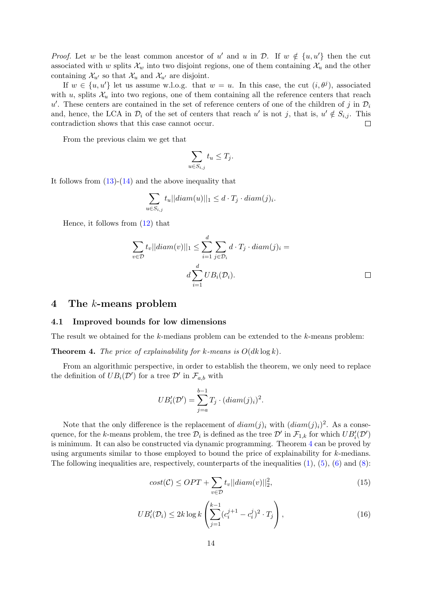*Proof.* Let w be the least common ancestor of u' and u in  $\mathcal{D}$ . If  $w \notin \{u, u'\}$  then the cut associated with w splits  $\mathcal{X}_w$  into two disjoint regions, one of them containing  $\mathcal{X}_u$  and the other containing  $\mathcal{X}_{u'}$  so that  $\mathcal{X}_{u}$  and  $\mathcal{X}_{u'}$  are disjoint.

If  $w \in \{u, u'\}$  let us assume w.l.o.g. that  $w = u$ . In this case, the cut  $(i, \theta^j)$ , associated with u, splits  $\mathcal{X}_u$  into two regions, one of them containing all the reference centers that reach u'. These centers are contained in the set of reference centers of one of the children of j in  $\mathcal{D}_i$ and, hence, the LCA in  $\mathcal{D}_i$  of the set of centers that reach u' is not j, that is,  $u' \notin S_{i,j}$ . This contradiction shows that this case cannot occur.  $\Box$ 

From the previous claim we get that

$$
\sum_{u \in S_{i,j}} t_u \le T_j.
$$

It follows from  $(13)-(14)$  $(13)-(14)$  $(13)-(14)$  and the above inequality that

$$
\sum_{u \in S_{i,j}} t_u ||diam(u)||_1 \leq d \cdot T_j \cdot diam(j)_i.
$$

Hence, it follows from [\(12\)](#page-12-1) that

$$
\sum_{v \in \mathcal{D}} t_v ||diam(v)||_1 \le \sum_{i=1}^d \sum_{j \in \mathcal{D}_i} d \cdot T_j \cdot diam(j)_i =
$$
  

$$
d \sum_{i=1}^d UB_i(\mathcal{D}_i).
$$

### 4 The k-means problem

#### 4.1 Improved bounds for low dimensions

The result we obtained for the k-medians problem can be extended to the k-means problem:

<span id="page-13-0"></span>**Theorem 4.** The price of explainability for k-means is  $O(dk \log k)$ .

From an algorithmic perspective, in order to establish the theorem, we only need to replace the definition of  $UB_i(\mathcal{D}')$  for a tree  $\mathcal{D}'$  in  $\mathcal{F}_{a,b}$  with

$$
UB'_{i}(\mathcal{D}') = \sum_{j=a}^{b-1} T_j \cdot (diam(j)_i)^2.
$$

<span id="page-13-2"></span><span id="page-13-1"></span>Note that the only difference is the replacement of  $diam(j)_i$  with  $(diam(j)_i)^2$ . As a consequence, for the k-means problem, the tree  $\mathcal{D}_i$  is defined as the tree  $\mathcal{D}'$  in  $\mathcal{F}_{1,k}$  for which  $UB'_i(\mathcal{D}')$ is minimum. It can also be constructed via dynamic programming. Theorem [4](#page-13-0) can be proved by using arguments similar to those employed to bound the price of explainability for k-medians. The following inequalities are, respectively, counterparts of the inequalities  $(1)$ ,  $(5)$ ,  $(6)$  and  $(8)$ :

$$
cost(\mathcal{C}) \le OPT + \sum_{v \in \mathcal{D}} t_v ||diam(v)||_2^2,
$$
\n(15)

$$
UB'_{i}(\mathcal{D}_{i}) \leq 2k \log k \left( \sum_{j=1}^{k-1} (c_{i}^{j+1} - c_{i}^{j})^{2} \cdot T_{j} \right), \qquad (16)
$$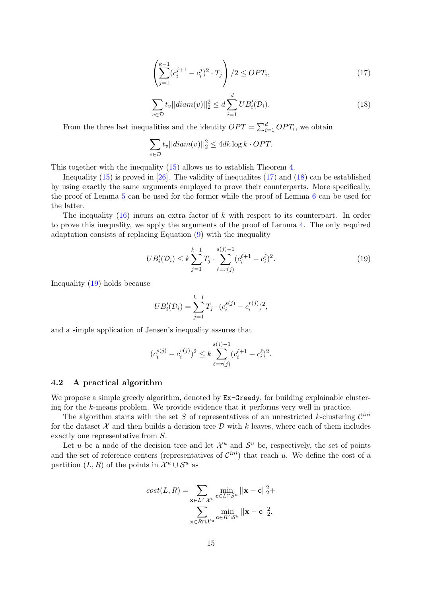$$
\left(\sum_{j=1}^{k-1} (c_i^{j+1} - c_i^j)^2 \cdot T_j\right) / 2 \le OPT_i,
$$
\n(17)

$$
\sum_{v \in \mathcal{D}} t_v ||diam(v)||_2^2 \le d \sum_{i=1}^d UB'_i(\mathcal{D}_i).
$$
 (18)

<span id="page-14-1"></span><span id="page-14-0"></span>From the three last inequalities and the identity  $OPT = \sum_{i=1}^{d} OPT_i$ , we obtain

$$
\sum_{v \in \mathcal{D}} t_v ||diam(v)||_2^2 \le 4dk \log k \cdot OPT.
$$

This together with the inequality [\(15\)](#page-13-1) allows us to establish Theorem [4.](#page-13-0)

Inequality  $(15)$  is proved in [\[26\]](#page-22-2). The validity of inequalities  $(17)$  and  $(18)$  can be established by using exactly the same arguments employed to prove their counterparts. More specifically, the proof of Lemma [5](#page-12-2) can be used for the former while the proof of Lemma [6](#page-12-3) can be used for the latter.

The inequality  $(16)$  incurs an extra factor of k with respect to its counterpart. In order to prove this inequality, we apply the arguments of the proof of Lemma [4.](#page-11-2) The only required adaptation consists of replacing Equation [\(9\)](#page-11-1) with the inequality

<span id="page-14-2"></span>
$$
UB'_i(\mathcal{D}_i) \le k \sum_{j=1}^{k-1} T_j \cdot \sum_{\ell=r(j)}^{s(j)-1} (c_i^{\ell+1} - c_i^{\ell})^2.
$$
 (19)

Inequality [\(19\)](#page-14-2) holds because

$$
UB'_{i}(\mathcal{D}_{i}) = \sum_{j=1}^{k-1} T_{j} \cdot (c_{i}^{s(j)} - c_{i}^{r(j)})^{2},
$$

and a simple application of Jensen's inequality assures that

$$
(c_i^{s(j)} - c_i^{r(j)})^2 \le k \sum_{\ell=r(j)}^{s(j)-1} (c_i^{\ell+1} - c_i^{\ell})^2.
$$

#### 4.2 A practical algorithm

We propose a simple greedy algorithm, denoted by  $Ex$ -Greedy, for building explainable clustering for the k-means problem. We provide evidence that it performs very well in practice.

The algorithm starts with the set S of representatives of an unrestricted k-clustering  $\mathcal{C}^{ini}$ for the dataset  $\mathcal X$  and then builds a decision tree  $\mathcal D$  with k leaves, where each of them includes exactly one representative from S.

Let u be a node of the decision tree and let  $\mathcal{X}^u$  and  $\mathcal{S}^u$  be, respectively, the set of points and the set of reference centers (representatives of  $\mathcal{C}^{ini}$ ) that reach u. We define the cost of a partition  $(L, R)$  of the points in  $\mathcal{X}^u \cup \mathcal{S}^u$  as

$$
cost(L, R) = \sum_{\mathbf{x} \in L \cap \mathcal{X}^u} \min_{\mathbf{c} \in L \cap \mathcal{S}^u} ||\mathbf{x} - \mathbf{c}||_2^2 + \sum_{\mathbf{x} \in R \cap \mathcal{X}^u} \min_{\mathbf{c} \in R \cap \mathcal{S}^u} ||\mathbf{x} - \mathbf{c}||_2^2.
$$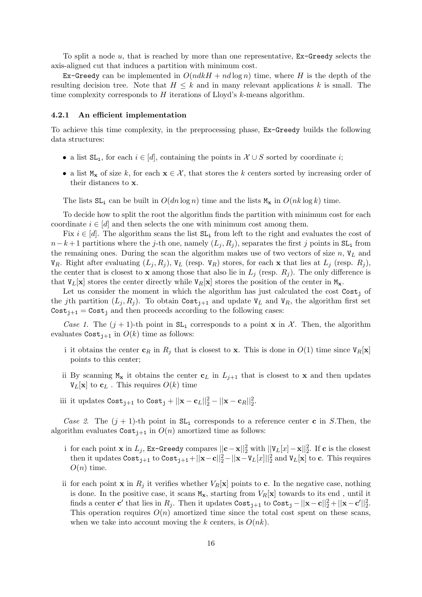To split a node u, that is reached by more than one representative, Ex-Greedy selects the axis-aligned cut that induces a partition with minimum cost.

Ex-Greedy can be implemented in  $O(ndkH + nd \log n)$  time, where H is the depth of the resulting decision tree. Note that  $H \leq k$  and in many relevant applications k is small. The time complexity corresponds to  $H$  iterations of Lloyd's  $k$ -means algorithm.

#### 4.2.1 An efficient implementation

To achieve this time complexity, in the preprocessing phase, Ex-Greedy builds the following data structures:

- a list  $SL_i$ , for each  $i \in [d]$ , containing the points in  $\mathcal{X} \cup S$  sorted by coordinate i;
- a list  $M_x$  of size k, for each  $x \in \mathcal{X}$ , that stores the k centers sorted by increasing order of their distances to x.

The lists  $SL_i$  can be built in  $O(dn \log n)$  time and the lists  $M_x$  in  $O(nk \log k)$  time.

To decide how to split the root the algorithm finds the partition with minimum cost for each coordinate  $i \in [d]$  and then selects the one with minimum cost among them.

Fix  $i \in [d]$ . The algorithm scans the list  $SL_i$  from left to the right and evaluates the cost of  $n-k+1$  partitions where the j-th one, namely  $(L_i, R_i)$ , separates the first j points in SL<sub>i</sub> from the remaining ones. During the scan the algorithm makes use of two vectors of size  $n$ ,  $V_L$  and  $V_R$ . Right after evaluating  $(L_j, R_j)$ ,  $V_L$  (resp.  $V_R$ ) stores, for each x that lies at  $L_j$  (resp.  $R_j$ ), the center that is closest to **x** among those that also lie in  $L_j$  (resp.  $R_j$ ). The only difference is that  $V_L[x]$  stores the center directly while  $V_R[x]$  stores the position of the center in  $M_x$ .

Let us consider the moment in which the algorithm has just calculated the cost  $\text{Cost}_i$  of the jth partition  $(L_j, R_j)$ . To obtain Cost<sub>ition</sub> and update  $V_L$  and  $V_R$ , the algorithm first set  $\text{Cost}_{i+1} = \text{Cost}_i$  and then proceeds according to the following cases:

Case 1. The  $(j + 1)$ -th point in  $SL_i$  corresponds to a point x in X. Then, the algorithm evaluates  $\text{Cost}_{i+1}$  in  $O(k)$  time as follows:

- i it obtains the center  $\mathbf{c}_R$  in  $R_j$  that is closest to x. This is done in  $O(1)$  time since  $V_R[\mathbf{x}]$ points to this center;
- ii By scanning  $M_x$  it obtains the center  $c_L$  in  $L_{i+1}$  that is closest to x and then updates  $V_L[x]$  to  $c_L$ . This requires  $O(k)$  time
- iii it updates  $\text{Cost}_{j+1}$  to  $\text{Cost}_j + ||\mathbf{x} \mathbf{c}_L||_2^2 ||\mathbf{x} \mathbf{c}_R||_2^2$ .

Case 2. The  $(j + 1)$ -th point in  $SL_i$  corresponds to a reference center c in S.Then, the algorithm evaluates  $\text{Cost}_{i+1}$  in  $O(n)$  amortized time as follows:

- i for each point **x** in  $L_j$ , Ex-Greedy compares  $||\mathbf{c} \mathbf{x}||_2^2$  with  $||\mathbf{V}_L[x] \mathbf{x}||_2^2$ . If  $\mathbf{c}$  is the closest then it updates  $\text{Cost}_{j+1}$  to  $\text{Cost}_{j+1} + ||\mathbf{x}-\mathbf{c}||_2^2 - ||\mathbf{x}-V_L[x]||_2^2$  and  $V_L[\mathbf{x}]$  to  $\mathbf{c}$ . This requires  $O(n)$  time.
- ii for each point **x** in  $R_i$  it verifies whether  $V_R[\mathbf{x}]$  points to **c**. In the negative case, nothing is done. In the positive case, it scans  $M_{\mathbf{x}}$ , starting from  $V_R[\mathbf{x}]$  towards to its end, until it finds a center  $\mathbf{c}'$  that lies in  $R_j$ . Then it updates  $\texttt{Cost}_{j+1}$  to  $\texttt{Cost}_j - ||\mathbf{x} - \mathbf{c}||_2^2 + ||\mathbf{x} - \mathbf{c}'||_2^2$ . This operation requires  $O(n)$  amortized time since the total cost spent on these scans, when we take into account moving the k centers, is  $O(nk)$ .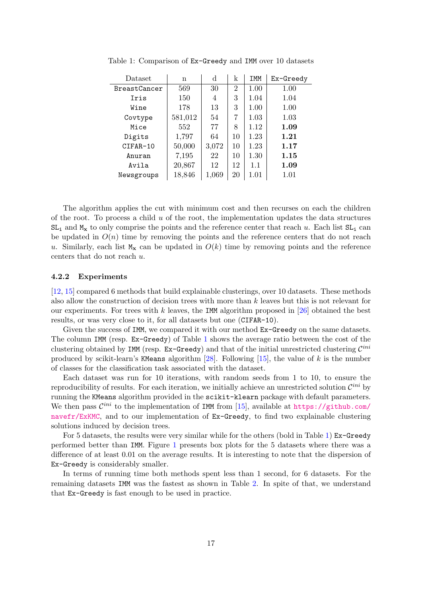| Dataset             | n       | d     | k              | <b>IMM</b> | Ex-Greedy |
|---------------------|---------|-------|----------------|------------|-----------|
| <b>BreastCancer</b> | 569     | 30    | $\overline{2}$ | 1.00       | 1.00      |
| Iris                | 150     | 4     | 3              | 1.04       | 1.04      |
| Wine                | 178     | 13    | 3              | 1.00       | 1.00      |
| Covtype             | 581,012 | 54    | 7              | 1.03       | 1.03      |
| Mice                | 552     | 77    | 8              | 1.12       | 1.09      |
| Digits              | 1,797   | 64    | 10             | 1.23       | 1.21      |
| CIFAR-10            | 50,000  | 3,072 | 10             | 1.23       | 1.17      |
| Anuran              | 7,195   | 22    | 10             | 1.30       | 1.15      |
| Avila               | 20,867  | 12    | 12             | 1.1        | 1.09      |
| Newsgroups          | 18,846  | 1,069 | 20             | 1.01       | 1.01      |

<span id="page-16-0"></span>Table 1: Comparison of Ex-Greedy and IMM over 10 datasets

The algorithm applies the cut with minimum cost and then recurses on each the children of the root. To process a child  $u$  of the root, the implementation updates the data structures  $SL_i$  and  $M_x$  to only comprise the points and the reference center that reach u. Each list  $SL_i$  can be updated in  $O(n)$  time by removing the points and the reference centers that do not reach u. Similarly, each list  $M_x$  can be updated in  $O(k)$  time by removing points and the reference centers that do not reach u.

### 4.2.2 Experiments

[\[12,](#page-21-3) [15\]](#page-21-4) compared 6 methods that build explainable clusterings, over 10 datasets. These methods also allow the construction of decision trees with more than k leaves but this is not relevant for our experiments. For trees with k leaves, the IMM algorithm proposed in  $[26]$  obtained the best results, or was very close to it, for all datasets but one (CIFAR-10).

Given the success of IMM, we compared it with our method  $Ex-Greedy$  on the same datasets. The column IMM (resp. Ex-Greedy) of Table [1](#page-16-0) shows the average ratio between the cost of the clustering obtained by IMM (resp. Ex-Greedy) and that of the initial unrestricted clustering  $\mathcal{C}^{ini}$ produced by scikit-learn's KMeans algorithm [\[28\]](#page-22-11). Following [\[15\]](#page-21-4), the value of k is the number of classes for the classification task associated with the dataset.

Each dataset was run for 10 iterations, with random seeds from 1 to 10, to ensure the reproducibility of results. For each iteration, we initially achieve an unrestricted solution  $\mathcal{C}^{ini}$  by running the KMeans algorithm provided in the scikit-klearn package with default parameters. We then pass  $\mathcal{C}^{ini}$  to the implementation of IMM from [\[15\]](#page-21-4), available at [https://github.com/](https://github.com/navefr/ExKMC) [navefr/ExKMC](https://github.com/navefr/ExKMC), and to our implementation of Ex-Greedy, to find two explainable clustering solutions induced by decision trees.

For 5 datasets, the results were very similar while for the others (bold in Table [1\)](#page-16-0) Ex-Greedy performed better than IMM. Figure [1](#page-17-0) presents box plots for the 5 datasets where there was a difference of at least 0.01 on the average results. It is interesting to note that the dispersion of Ex-Greedy is considerably smaller.

In terms of running time both methods spent less than 1 second, for 6 datasets. For the remaining datasets IMM was the fastest as shown in Table [2.](#page-17-1) In spite of that, we understand that Ex-Greedy is fast enough to be used in practice.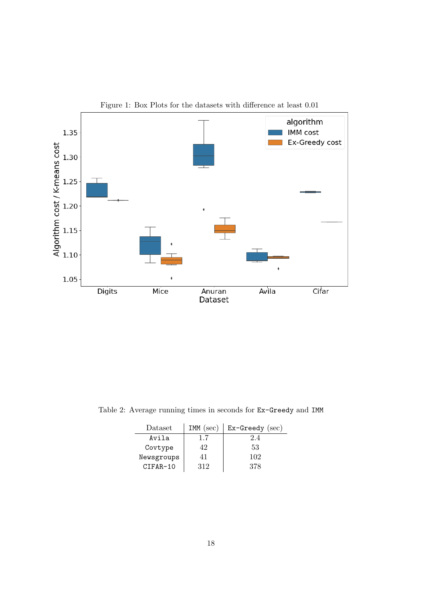<span id="page-17-0"></span>

Figure 1: Box Plots for the datasets with difference at least 0.01

<span id="page-17-1"></span>Table 2: Average running times in seconds for Ex-Greedy and IMM

| Dataset    | $IMM$ (sec) | $Ex-Greedy$ (sec) |
|------------|-------------|-------------------|
| Avila      |             | 2.4               |
| Covtype    | 42          | 53                |
| Newsgroups |             | 102               |
| CIFAR-10   | 312         | 378               |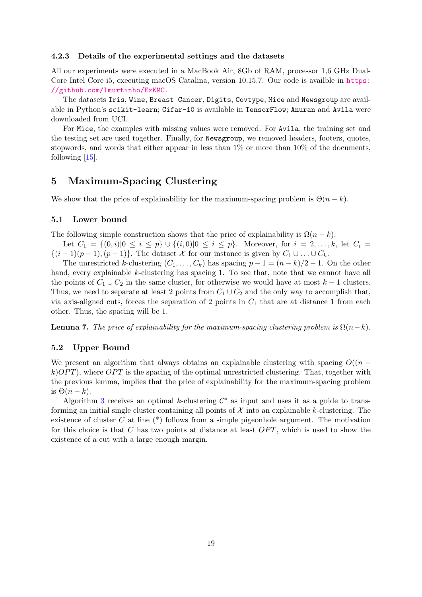#### 4.2.3 Details of the experimental settings and the datasets

All our experiments were executed in a MacBook Air, 8Gb of RAM, processor 1,6 GHz Dual-Core Intel Core i5, executing macOS Catalina, version 10.15.7. Our code is availble in [https:](https://github.com/lmurtinho/ExKMC.) [//github.com/lmurtinho/ExKMC.](https://github.com/lmurtinho/ExKMC.)

The datasets Iris, Wine, Breast Cancer, Digits, Covtype, Mice and Newsgroup are available in Python's scikit-learn; Cifar-10 is available in TensorFlow; Anuran and Avila were downloaded from UCI.

For Mice, the examples with missing values were removed. For Avila, the training set and the testing set are used together. Finally, for Newsgroup, we removed headers, footers, quotes, stopwords, and words that either appear in less than 1% or more than 10% of the documents, following [\[15\]](#page-21-4).

# 5 Maximum-Spacing Clustering

We show that the price of explainability for the maximum-spacing problem is  $\Theta(n-k)$ .

### 5.1 Lower bound

The following simple construction shows that the price of explainability is  $\Omega(n-k)$ .

Let  $C_1 = \{(0, i) | 0 \le i \le p\} \cup \{(i, 0) | 0 \le i \le p\}$ . Moreover, for  $i = 2, ..., k$ , let  $C_i =$  $\{(i-1)(p-1), (p-1)\}\.$  The dataset X for our instance is given by  $C_1 \cup \ldots \cup C_k$ .

The unrestricted k-clustering  $(C_1, \ldots, C_k)$  has spacing  $p - 1 = (n - k)/2 - 1$ . On the other hand, every explainable k-clustering has spacing 1. To see that, note that we cannot have all the points of  $C_1 \cup C_2$  in the same cluster, for otherwise we would have at most  $k-1$  clusters. Thus, we need to separate at least 2 points from  $C_1 \cup C_2$  and the only way to accomplish that, via axis-aligned cuts, forces the separation of 2 points in  $C_1$  that are at distance 1 from each other. Thus, the spacing will be 1.

**Lemma 7.** The price of explainability for the maximum-spacing clustering problem is  $\Omega(n-k)$ .

### 5.2 Upper Bound

We present an algorithm that always obtains an explainable clustering with spacing  $O((n$  $k$ ) $OPT$ , where  $OPT$  is the spacing of the optimal unrestricted clustering. That, together with the previous lemma, implies that the price of explainability for the maximum-spacing problem is  $\Theta(n-k)$ .

Algorithm [3](#page-19-0) receives an optimal k-clustering  $\mathcal{C}^*$  as input and uses it as a guide to transforming an initial single cluster containing all points of  $X$  into an explainable k-clustering. The existence of cluster C at line  $(*)$  follows from a simple pigeonhole argument. The motivation for this choice is that C has two points at distance at least  $OPT$ , which is used to show the existence of a cut with a large enough margin.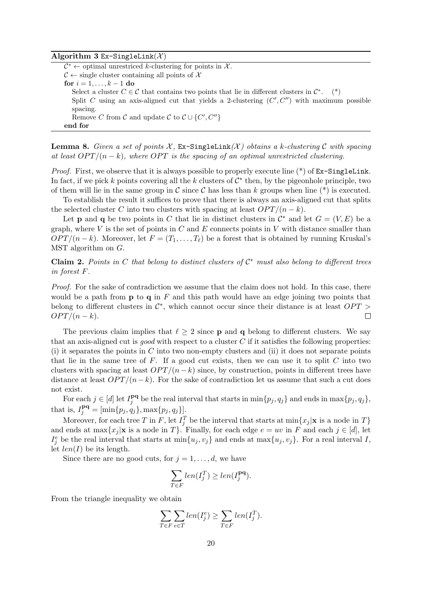#### Algorithm 3 Ex-SingleLink( $X$ )

 $\mathcal{C}^* \leftarrow$  optimal unrestriced k-clustering for points in X.  $\mathcal{C} \leftarrow$  single cluster containing all points of X for  $i = 1, \ldots, k - 1$  do Select a cluster  $C \in \mathcal{C}$  that contains two points that lie in different clusters in  $\mathcal{C}^*$  $(*)$ Split C using an axis-aligned cut that yields a 2-clustering  $(C', C'')$  with maximum possible spacing. Remove C from C and update C to  $\mathcal{C} \cup \{C', C''\}$ end for

<span id="page-19-0"></span>**Lemma 8.** Given a set of points  $\mathcal{X}$ , Ex-SingleLink( $\mathcal{X}$ ) obtains a k-clustering C with spacing at least  $OPT/(n-k)$ , where OPT is the spacing of an optimal unrestricted clustering.

*Proof.* First, we observe that it is always possible to properly execute line  $(*)$  of  $Ex\text{-}SingleLink$ . In fact, if we pick k points covering all the k clusters of  $C^*$  then, by the pigeonhole principle, two of them will lie in the same group in C since C has less than k groups when line  $(*)$  is executed.

To establish the result it suffices to prove that there is always an axis-aligned cut that splits the selected cluster C into two clusters with spacing at least  $OPT/(n - k)$ .

Let **p** and **q** be two points in C that lie in distinct clusters in  $\mathcal{C}^*$  and let  $G = (V, E)$  be a graph, where V is the set of points in  $C$  and  $E$  connects points in V with distance smaller than  $OPT/(n-k)$ . Moreover, let  $F = (T_1, \ldots, T_\ell)$  be a forest that is obtained by running Kruskal's MST algorithm on G.

<span id="page-19-1"></span>Claim 2. Points in C that belong to distinct clusters of  $C^*$  must also belong to different trees in forest F.

Proof. For the sake of contradiction we assume that the claim does not hold. In this case, there would be a path from  $\bf{p}$  to  $\bf{q}$  in  $F$  and this path would have an edge joining two points that belong to different clusters in  $\mathcal{C}^*$ , which cannot occur since their distance is at least  $OPT$  $OPT/(n-k).$  $\Box$ 

The previous claim implies that  $\ell \geq 2$  since **p** and **q** belong to different clusters. We say that an axis-aligned cut is good with respect to a cluster  $C$  if it satisfies the following properties: (i) it separates the points in  $C$  into two non-empty clusters and (ii) it does not separate points that lie in the same tree of  $F$ . If a good cut exists, then we can use it to split  $C$  into two clusters with spacing at least  $OPT/(n-k)$  since, by construction, points in different trees have distance at least  $OPT/(n-k)$ . For the sake of contradiction let us assume that such a cut does not exist.

For each  $j \in [d]$  let  $I_i^{pq}$  $j^{\text{pq}}$  be the real interval that starts in  $\min\{p_j, q_j\}$  and ends in  $\max\{p_j, q_j\},$ that is,  $I_j^{\mathbf{pq}} = [\min\{p_j, q_j\}, \max\{p_j, q_j\}].$ 

Moreover, for each tree T in F, let  $I_j^T$  be the interval that starts at  $\min\{x_j | \mathbf{x} \text{ is a node in } T\}$ and ends at  $\max\{x_j | \mathbf{x} \text{ is a node in } T\}$ . Finally, for each edge  $e = uv$  in F and each  $j \in [d]$ , let  $I_j^e$  be the real interval that starts at  $\min\{u_j, v_j\}$  and ends at  $\max\{u_j, v_j\}$ . For a real interval I, let  $len(I)$  be its length.

Since there are no good cuts, for  $j = 1, \ldots, d$ , we have

$$
\sum_{T \in F} len(I_j^T) \ge len(I_j^{\mathbf{pq}}).
$$

From the triangle inequality we obtain

$$
\sum_{T \in F} \sum_{e \in T} len(I_j^e) \ge \sum_{T \in F} len(I_j^T).
$$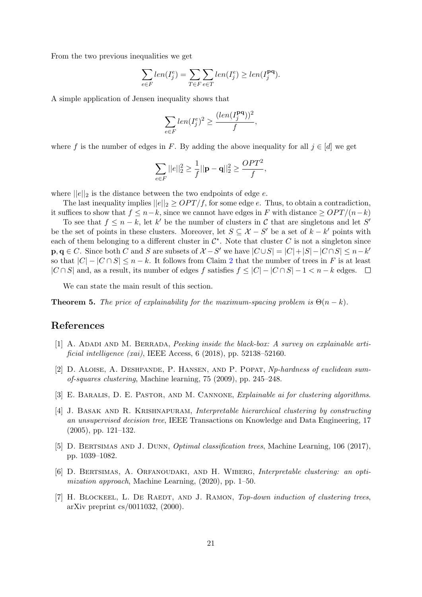From the two previous inequalities we get

$$
\sum_{e \in F} len(I_j^e) = \sum_{T \in F} \sum_{e \in T} len(I_j^e) \geq len(I_j^{pq}).
$$

A simple application of Jensen inequality shows that

$$
\sum_{e\in F} len(I_j^e)^2 \geq \frac{(len(I_j^{\mathbf{pq}}))^2}{f},
$$

where f is the number of edges in F. By adding the above inequality for all  $j \in [d]$  we get

$$
\sum_{e \in F} ||e||_2^2 \ge \frac{1}{f} ||\mathbf{p} - \mathbf{q}||_2^2 \ge \frac{OPT^2}{f},
$$

where  $||e||_2$  is the distance between the two endpoints of edge e.

The last inequality implies  $||e||_2 \geq OPT/f$ , for some edge e. Thus, to obtain a contradiction, it suffices to show that  $f \leq n-k$ , since we cannot have edges in F with distance  $\geq OPT/(n-k)$ 

To see that  $f \leq n - k$ , let k' be the number of clusters in C that are singletons and let S' be the set of points in these clusters. Moreover, let  $S \subseteq \mathcal{X} - S'$  be a set of  $k - k'$  points with each of them belonging to a different cluster in  $\mathcal{C}^*$ . Note that cluster C is not a singleton since  $\mathbf{p}, \mathbf{q} \in C$ . Since both C and S are subsets of  $\mathcal{X} - S'$  we have  $|C \cup S| = |C| + |S| - |C \cap S| \leq n - k'$ so that  $|C| - |C \cap S| \leq n - k$ . It follows from Claim [2](#page-19-1) that the number of trees in F is at least  $|C \cap S|$  and, as a result, its number of edges f satisfies  $f \leq |C| - |C \cap S| - 1 < n - k$  edges.  $\Box$ 

We can state the main result of this section.

**Theorem 5.** The price of explainability for the maximum-spacing problem is  $\Theta(n-k)$ .

### References

- <span id="page-20-6"></span>[1] A. Adadi and M. Berrada, Peeking inside the black-box: A survey on explainable artificial intelligence (xai), IEEE Access, 6 (2018), pp. 52138–52160.
- <span id="page-20-1"></span>[2] D. Aloise, A. Deshpande, P. Hansen, and P. Popat, Np-hardness of euclidean sumof-squares clustering, Machine learning, 75 (2009), pp. 245–248.
- <span id="page-20-5"></span>[3] E. BARALIS, D. E. PASTOR, AND M. CANNONE, *Explainable ai for clustering algorithms*.
- <span id="page-20-3"></span>[4] J. Basak and R. Krishnapuram, Interpretable hierarchical clustering by constructing an unsupervised decision tree, IEEE Transactions on Knowledge and Data Engineering, 17 (2005), pp. 121–132.
- <span id="page-20-4"></span>[5] D. BERTSIMAS AND J. DUNN, *Optimal classification trees*, Machine Learning, 106 (2017), pp. 1039–1082.
- <span id="page-20-0"></span>[6] D. Bertsimas, A. Orfanoudaki, and H. Wiberg, Interpretable clustering: an optimization approach, Machine Learning, (2020), pp. 1–50.
- <span id="page-20-2"></span>[7] H. BLOCKEEL, L. DE RAEDT, AND J. RAMON, Top-down induction of clustering trees, arXiv preprint cs/0011032, (2000).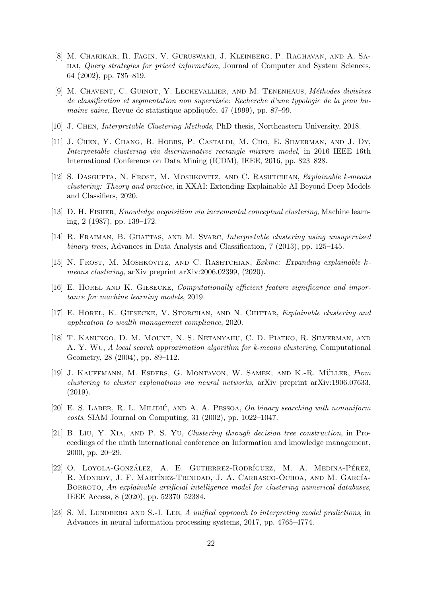- <span id="page-21-1"></span>[8] M. Charikar, R. Fagin, V. Guruswami, J. Kleinberg, P. Raghavan, and A. Sahai, Query strategies for priced information, Journal of Computer and System Sciences, 64 (2002), pp. 785–819.
- <span id="page-21-7"></span>[9] M. CHAVENT, C. GUINOT, Y. LECHEVALLIER, AND M. TENENHAUS, *Méthodes divisives* de classification et segmentation non supervisée: Recherche d'une typologie de la peau humaine saine, Revue de statistique appliquée, 47 (1999), pp. 87–99.
- <span id="page-21-15"></span>[10] J. Chen, Interpretable Clustering Methods, PhD thesis, Northeastern University, 2018.
- <span id="page-21-11"></span>[11] J. Chen, Y. Chang, B. Hobbs, P. Castaldi, M. Cho, E. Silverman, and J. Dy, Interpretable clustering via discriminative rectangle mixture model, in 2016 IEEE 16th International Conference on Data Mining (ICDM), IEEE, 2016, pp. 823–828.
- <span id="page-21-3"></span>[12] S. Dasgupta, N. Frost, M. Moshkovitz, and C. Rashtchian, Explainable k-means clustering: Theory and practice, in XXAI: Extending Explainable AI Beyond Deep Models and Classifiers, 2020.
- <span id="page-21-6"></span>[13] D. H. Fisher, Knowledge acquisition via incremental conceptual clustering, Machine learning, 2 (1987), pp. 139–172.
- <span id="page-21-9"></span>[14] R. FRAIMAN, B. GHATTAS, AND M. SVARC, Interpretable clustering using unsupervised binary trees, Advances in Data Analysis and Classification, 7 (2013), pp. 125–145.
- <span id="page-21-4"></span>[15] N. Frost, M. Moshkovitz, and C. Rashtchian, Exkmc: Expanding explainable kmeans clustering, arXiv preprint arXiv:2006.02399, (2020).
- <span id="page-21-13"></span>[16] E. Horel and K. Giesecke, Computationally efficient feature significance and importance for machine learning models, 2019.
- <span id="page-21-12"></span>[17] E. HOREL, K. GIESECKE, V. STORCHAN, AND N. CHITTAR, Explainable clustering and application to wealth management compliance, 2020.
- <span id="page-21-5"></span>[18] T. Kanungo, D. M. Mount, N. S. Netanyahu, C. D. Piatko, R. Silverman, and A. Y. Wu, A local search approximation algorithm for k-means clustering, Computational Geometry, 28 (2004), pp. 89–112.
- <span id="page-21-14"></span>[19] J. KAUFFMANN, M. ESDERS, G. MONTAVON, W. SAMEK, AND K.-R. MÜLLER, From clustering to cluster explanations via neural networks, arXiv preprint arXiv:1906.07633, (2019).
- <span id="page-21-2"></span> $[20]$  E. S. LABER, R. L. MILIDIÚ, AND A. A. PESSOA, On binary searching with nonuniform costs, SIAM Journal on Computing, 31 (2002), pp. 1022–1047.
- <span id="page-21-8"></span>[21] B. Liu, Y. Xia, and P. S. Yu, Clustering through decision tree construction, in Proceedings of the ninth international conference on Information and knowledge management, 2000, pp. 20–29.
- <span id="page-21-10"></span>[22] O. LOYOLA-GONZÁLEZ, A. E. GUTIERREZ-RODRÍGUEZ, M. A. MEDINA-PÉREZ, R. MONROY, J. F. MARTÍNEZ-TRINIDAD, J. A. CARRASCO-OCHOA, AND M. GARCÍA-BORROTO, An explainable artificial intelligence model for clustering numerical databases, IEEE Access, 8 (2020), pp. 52370–52384.
- <span id="page-21-0"></span>[23] S. M. LUNDBERG AND S.-I. LEE, A unified approach to interpreting model predictions, in Advances in neural information processing systems, 2017, pp. 4765–4774.